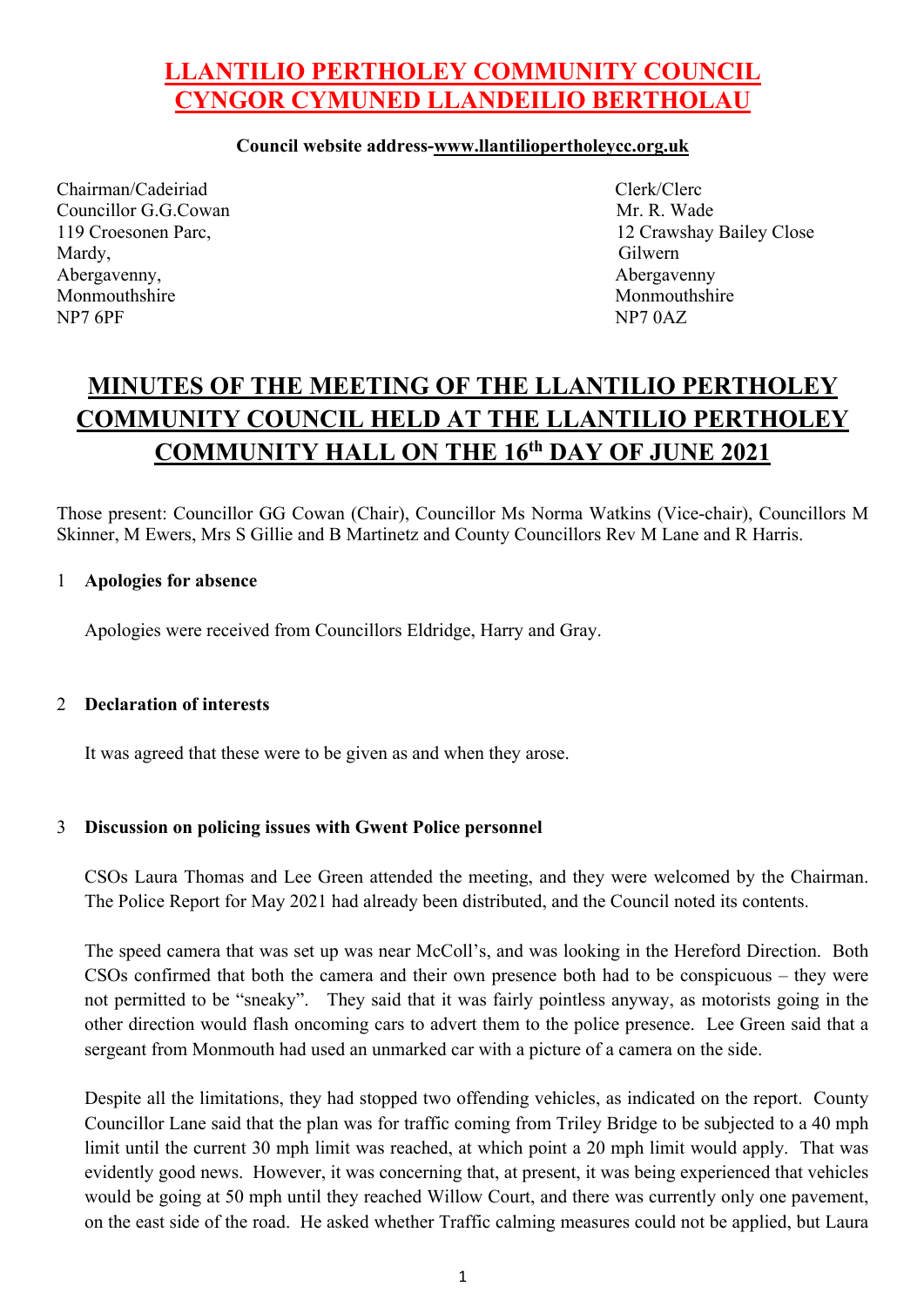## **LLANTILIO PERTHOLEY COMMUNITY COUNCIL CYNGOR CYMUNED LLANDEILIO BERTHOLAU**

#### **Council website address-www.llantiliopertholeycc.org.uk**

Chairman/Cadeiriad Clerk/Clerc Councillor G.G.Cowan Mr. R. Wade Mardy, Gilwern Abergavenny, and the same of the same of the same of the same of the same of the same of the same of the same of the same of the same of the same of the same of the same of the same of the same of the same of the same of t Monmouthshire Monmouthshire Monmouthshire NP7 6PF NP7 0AZ

119 Croesonen Parc, 12 Crawshay Bailey Close

# **MINUTES OF THE MEETING OF THE LLANTILIO PERTHOLEY COMMUNITY COUNCIL HELD AT THE LLANTILIO PERTHOLEY COMMUNITY HALL ON THE 16th DAY OF JUNE 2021**

Those present: Councillor GG Cowan (Chair), Councillor Ms Norma Watkins (Vice-chair), Councillors M Skinner, M Ewers, Mrs S Gillie and B Martinetz and County Councillors Rev M Lane and R Harris.

#### 1 **Apologies for absence**

Apologies were received from Councillors Eldridge, Harry and Gray.

#### 2 **Declaration of interests**

It was agreed that these were to be given as and when they arose.

#### 3 **Discussion on policing issues with Gwent Police personnel**

CSOs Laura Thomas and Lee Green attended the meeting, and they were welcomed by the Chairman. The Police Report for May 2021 had already been distributed, and the Council noted its contents.

The speed camera that was set up was near McColl's, and was looking in the Hereford Direction. Both CSOs confirmed that both the camera and their own presence both had to be conspicuous – they were not permitted to be "sneaky". They said that it was fairly pointless anyway, as motorists going in the other direction would flash oncoming cars to advert them to the police presence. Lee Green said that a sergeant from Monmouth had used an unmarked car with a picture of a camera on the side.

Despite all the limitations, they had stopped two offending vehicles, as indicated on the report. County Councillor Lane said that the plan was for traffic coming from Triley Bridge to be subjected to a 40 mph limit until the current 30 mph limit was reached, at which point a 20 mph limit would apply. That was evidently good news. However, it was concerning that, at present, it was being experienced that vehicles would be going at 50 mph until they reached Willow Court, and there was currently only one pavement, on the east side of the road. He asked whether Traffic calming measures could not be applied, but Laura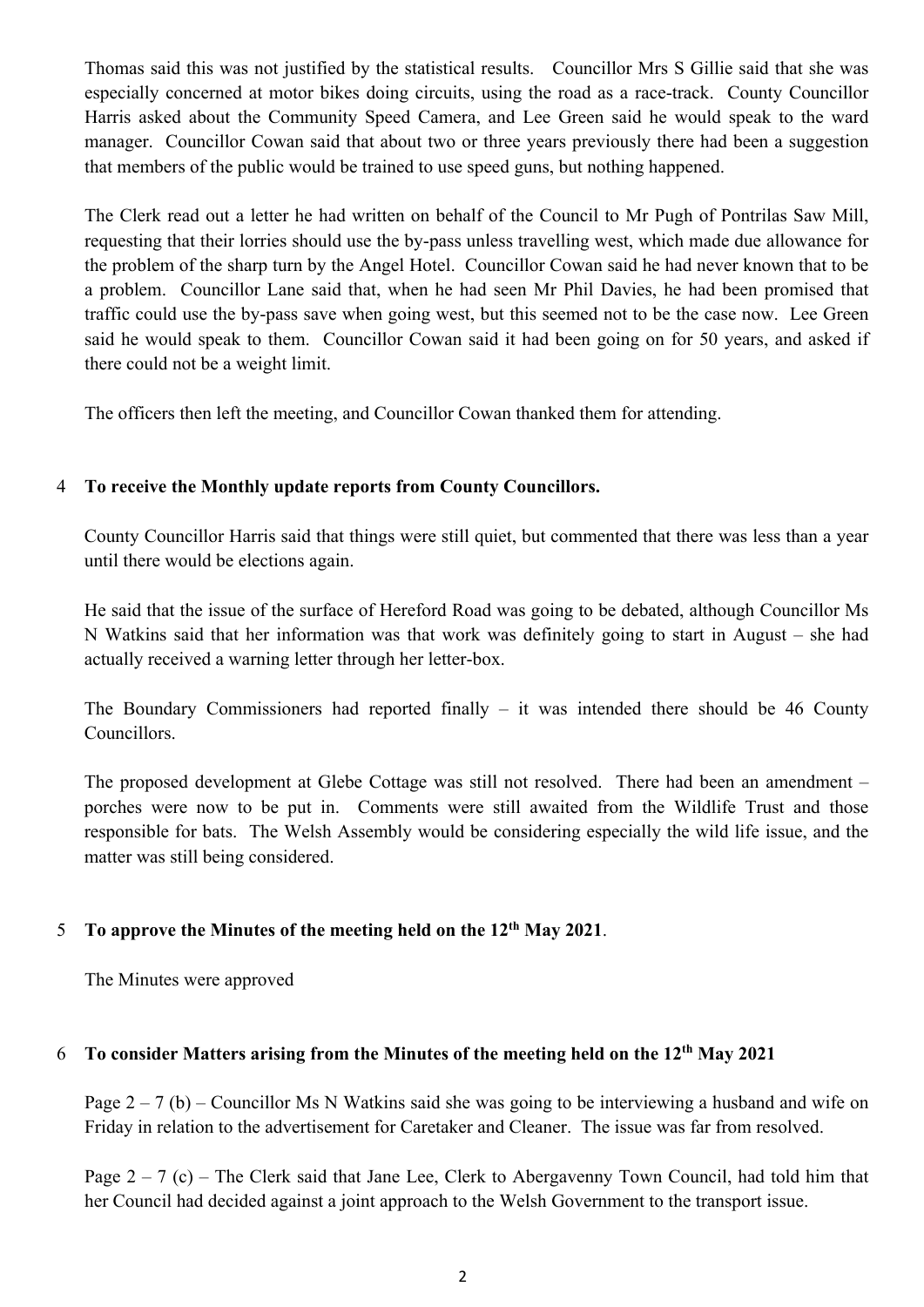Thomas said this was not justified by the statistical results. Councillor Mrs S Gillie said that she was especially concerned at motor bikes doing circuits, using the road as a race-track. County Councillor Harris asked about the Community Speed Camera, and Lee Green said he would speak to the ward manager. Councillor Cowan said that about two or three years previously there had been a suggestion that members of the public would be trained to use speed guns, but nothing happened.

The Clerk read out a letter he had written on behalf of the Council to Mr Pugh of Pontrilas Saw Mill, requesting that their lorries should use the by-pass unless travelling west, which made due allowance for the problem of the sharp turn by the Angel Hotel. Councillor Cowan said he had never known that to be a problem. Councillor Lane said that, when he had seen Mr Phil Davies, he had been promised that traffic could use the by-pass save when going west, but this seemed not to be the case now. Lee Green said he would speak to them. Councillor Cowan said it had been going on for 50 years, and asked if there could not be a weight limit.

The officers then left the meeting, and Councillor Cowan thanked them for attending.

#### 4 **To receive the Monthly update reports from County Councillors.**

County Councillor Harris said that things were still quiet, but commented that there was less than a year until there would be elections again.

He said that the issue of the surface of Hereford Road was going to be debated, although Councillor Ms N Watkins said that her information was that work was definitely going to start in August – she had actually received a warning letter through her letter-box.

The Boundary Commissioners had reported finally  $-$  it was intended there should be 46 County Councillors.

The proposed development at Glebe Cottage was still not resolved. There had been an amendment – porches were now to be put in. Comments were still awaited from the Wildlife Trust and those responsible for bats. The Welsh Assembly would be considering especially the wild life issue, and the matter was still being considered.

### 5 **To approve the Minutes of the meeting held on the 12th May 2021**.

The Minutes were approved

#### 6 **To consider Matters arising from the Minutes of the meeting held on the 12th May 2021**

Page  $2 - 7$  (b) – Councillor Ms N Watkins said she was going to be interviewing a husband and wife on Friday in relation to the advertisement for Caretaker and Cleaner. The issue was far from resolved.

Page  $2 - 7$  (c) – The Clerk said that Jane Lee, Clerk to Abergavenny Town Council, had told him that her Council had decided against a joint approach to the Welsh Government to the transport issue.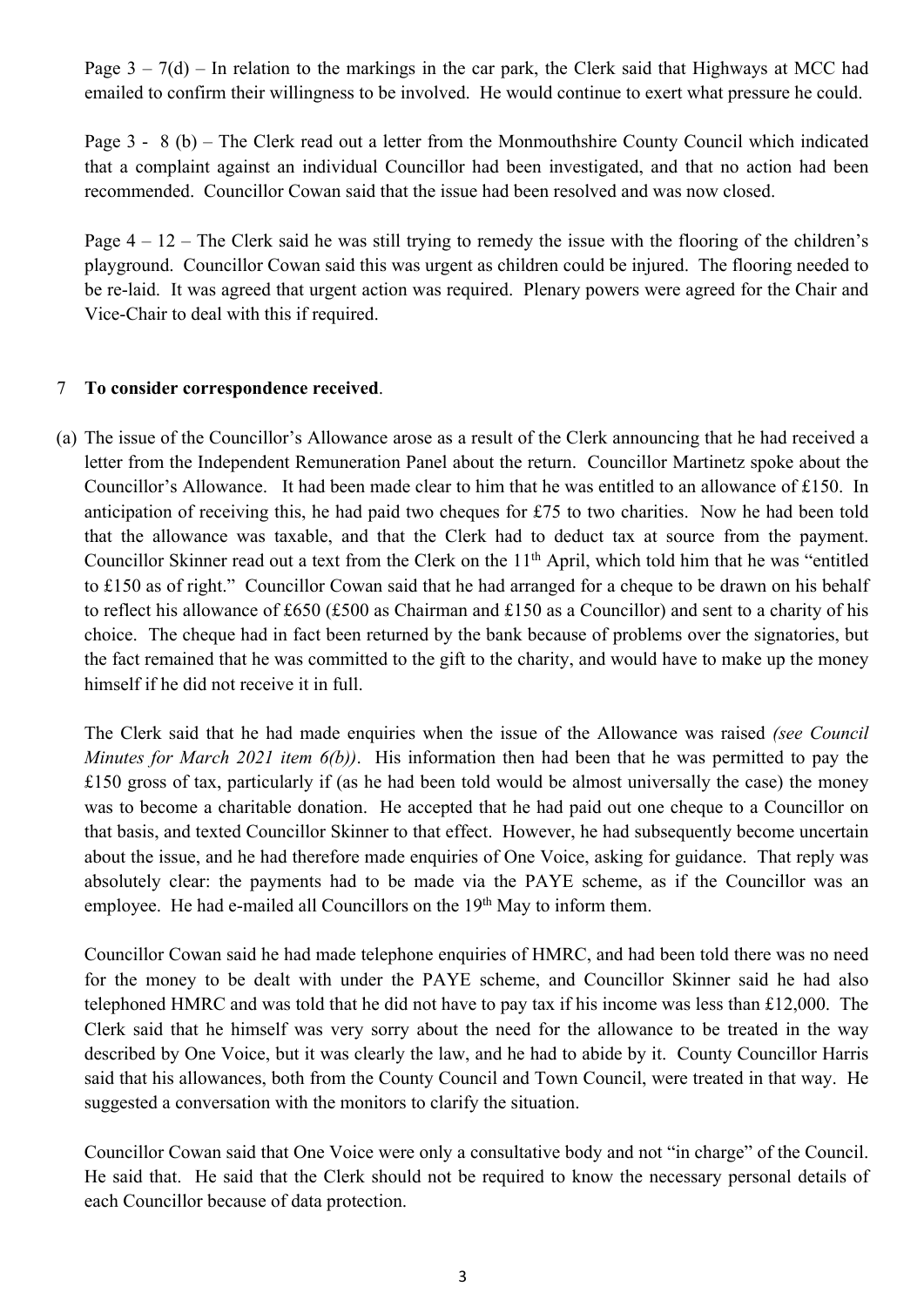Page  $3 - 7(d)$  – In relation to the markings in the car park, the Clerk said that Highways at MCC had emailed to confirm their willingness to be involved. He would continue to exert what pressure he could.

Page 3 - 8 (b) – The Clerk read out a letter from the Monmouthshire County Council which indicated that a complaint against an individual Councillor had been investigated, and that no action had been recommended. Councillor Cowan said that the issue had been resolved and was now closed.

Page  $4 - 12$  – The Clerk said he was still trying to remedy the issue with the flooring of the children's playground. Councillor Cowan said this was urgent as children could be injured. The flooring needed to be re-laid. It was agreed that urgent action was required. Plenary powers were agreed for the Chair and Vice-Chair to deal with this if required.

#### 7 **To consider correspondence received**.

(a) The issue of the Councillor's Allowance arose as a result of the Clerk announcing that he had received a letter from the Independent Remuneration Panel about the return. Councillor Martinetz spoke about the Councillor's Allowance. It had been made clear to him that he was entitled to an allowance of £150. In anticipation of receiving this, he had paid two cheques for £75 to two charities. Now he had been told that the allowance was taxable, and that the Clerk had to deduct tax at source from the payment. Councillor Skinner read out a text from the Clerk on the 11<sup>th</sup> April, which told him that he was "entitled to £150 as of right." Councillor Cowan said that he had arranged for a cheque to be drawn on his behalf to reflect his allowance of £650 (£500 as Chairman and £150 as a Councillor) and sent to a charity of his choice. The cheque had in fact been returned by the bank because of problems over the signatories, but the fact remained that he was committed to the gift to the charity, and would have to make up the money himself if he did not receive it in full.

The Clerk said that he had made enquiries when the issue of the Allowance was raised *(see Council Minutes for March 2021 item 6(b))*. His information then had been that he was permitted to pay the £150 gross of tax, particularly if (as he had been told would be almost universally the case) the money was to become a charitable donation. He accepted that he had paid out one cheque to a Councillor on that basis, and texted Councillor Skinner to that effect. However, he had subsequently become uncertain about the issue, and he had therefore made enquiries of One Voice, asking for guidance. That reply was absolutely clear: the payments had to be made via the PAYE scheme, as if the Councillor was an employee. He had e-mailed all Councillors on the 19<sup>th</sup> May to inform them.

Councillor Cowan said he had made telephone enquiries of HMRC, and had been told there was no need for the money to be dealt with under the PAYE scheme, and Councillor Skinner said he had also telephoned HMRC and was told that he did not have to pay tax if his income was less than £12,000. The Clerk said that he himself was very sorry about the need for the allowance to be treated in the way described by One Voice, but it was clearly the law, and he had to abide by it. County Councillor Harris said that his allowances, both from the County Council and Town Council, were treated in that way. He suggested a conversation with the monitors to clarify the situation.

Councillor Cowan said that One Voice were only a consultative body and not "in charge" of the Council. He said that. He said that the Clerk should not be required to know the necessary personal details of each Councillor because of data protection.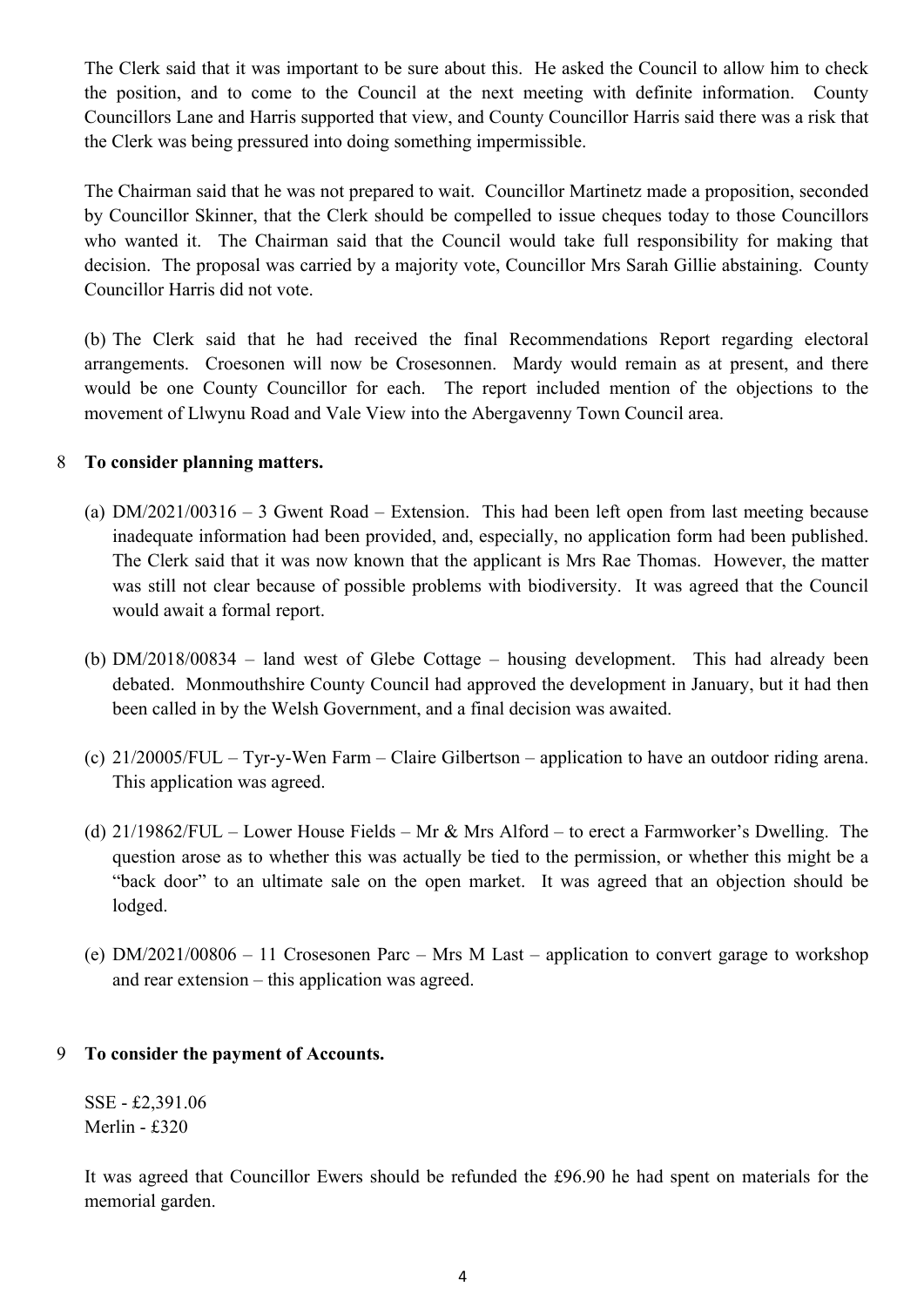The Clerk said that it was important to be sure about this. He asked the Council to allow him to check the position, and to come to the Council at the next meeting with definite information. County Councillors Lane and Harris supported that view, and County Councillor Harris said there was a risk that the Clerk was being pressured into doing something impermissible.

The Chairman said that he was not prepared to wait. Councillor Martinetz made a proposition, seconded by Councillor Skinner, that the Clerk should be compelled to issue cheques today to those Councillors who wanted it. The Chairman said that the Council would take full responsibility for making that decision. The proposal was carried by a majority vote, Councillor Mrs Sarah Gillie abstaining. County Councillor Harris did not vote.

(b) The Clerk said that he had received the final Recommendations Report regarding electoral arrangements. Croesonen will now be Crosesonnen. Mardy would remain as at present, and there would be one County Councillor for each. The report included mention of the objections to the movement of Llwynu Road and Vale View into the Abergavenny Town Council area.

#### 8 **To consider planning matters.**

- (a) DM/2021/00316 3 Gwent Road Extension. This had been left open from last meeting because inadequate information had been provided, and, especially, no application form had been published. The Clerk said that it was now known that the applicant is Mrs Rae Thomas. However, the matter was still not clear because of possible problems with biodiversity. It was agreed that the Council would await a formal report.
- (b) DM/2018/00834 land west of Glebe Cottage housing development. This had already been debated. Monmouthshire County Council had approved the development in January, but it had then been called in by the Welsh Government, and a final decision was awaited.
- (c) 21/20005/FUL Tyr-y-Wen Farm Claire Gilbertson application to have an outdoor riding arena. This application was agreed.
- (d)  $21/19862/FUL$  Lower House Fields Mr & Mrs Alford to erect a Farmworker's Dwelling. The question arose as to whether this was actually be tied to the permission, or whether this might be a "back door" to an ultimate sale on the open market. It was agreed that an objection should be lodged.
- (e) DM/2021/00806 11 Crosesonen Parc Mrs M Last application to convert garage to workshop and rear extension – this application was agreed.

#### 9 **To consider the payment of Accounts.**

SSE - £2,391.06 Merlin - £320

It was agreed that Councillor Ewers should be refunded the £96.90 he had spent on materials for the memorial garden.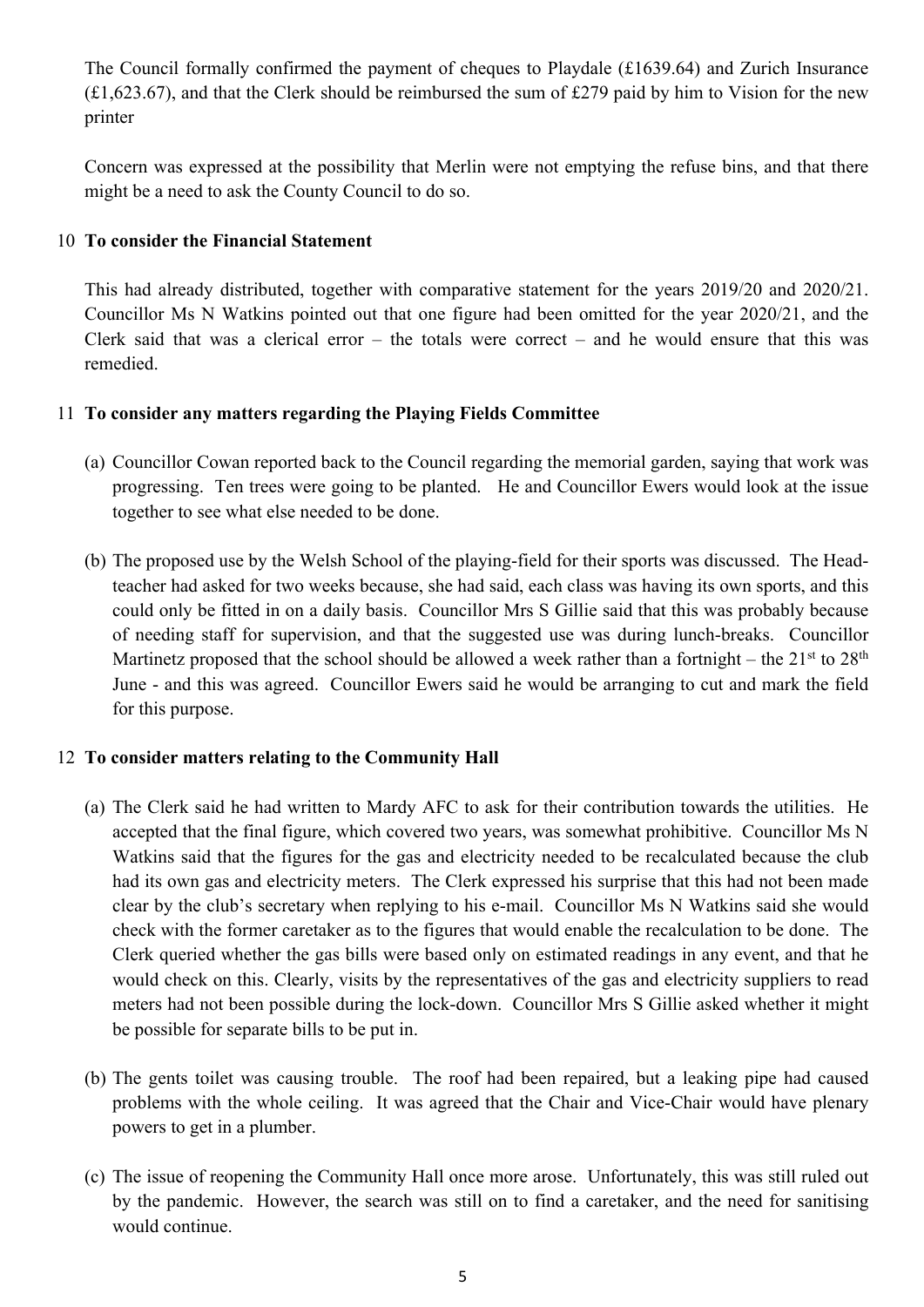The Council formally confirmed the payment of cheques to Playdale (£1639.64) and Zurich Insurance  $(f1,623.67)$ , and that the Clerk should be reimbursed the sum of £279 paid by him to Vision for the new printer

Concern was expressed at the possibility that Merlin were not emptying the refuse bins, and that there might be a need to ask the County Council to do so.

#### 10 **To consider the Financial Statement**

This had already distributed, together with comparative statement for the years 2019/20 and 2020/21. Councillor Ms N Watkins pointed out that one figure had been omitted for the year 2020/21, and the Clerk said that was a clerical error – the totals were correct – and he would ensure that this was remedied.

#### 11 **To consider any matters regarding the Playing Fields Committee**

- (a) Councillor Cowan reported back to the Council regarding the memorial garden, saying that work was progressing. Ten trees were going to be planted. He and Councillor Ewers would look at the issue together to see what else needed to be done.
- (b) The proposed use by the Welsh School of the playing-field for their sports was discussed. The Headteacher had asked for two weeks because, she had said, each class was having its own sports, and this could only be fitted in on a daily basis. Councillor Mrs S Gillie said that this was probably because of needing staff for supervision, and that the suggested use was during lunch-breaks. Councillor Martinetz proposed that the school should be allowed a week rather than a fortnight – the  $21<sup>st</sup>$  to  $28<sup>th</sup>$ June - and this was agreed. Councillor Ewers said he would be arranging to cut and mark the field for this purpose.

#### 12 **To consider matters relating to the Community Hall**

- (a) The Clerk said he had written to Mardy AFC to ask for their contribution towards the utilities. He accepted that the final figure, which covered two years, was somewhat prohibitive. Councillor Ms N Watkins said that the figures for the gas and electricity needed to be recalculated because the club had its own gas and electricity meters. The Clerk expressed his surprise that this had not been made clear by the club's secretary when replying to his e-mail. Councillor Ms N Watkins said she would check with the former caretaker as to the figures that would enable the recalculation to be done. The Clerk queried whether the gas bills were based only on estimated readings in any event, and that he would check on this. Clearly, visits by the representatives of the gas and electricity suppliers to read meters had not been possible during the lock-down. Councillor Mrs S Gillie asked whether it might be possible for separate bills to be put in.
- (b) The gents toilet was causing trouble. The roof had been repaired, but a leaking pipe had caused problems with the whole ceiling. It was agreed that the Chair and Vice-Chair would have plenary powers to get in a plumber.
- (c) The issue of reopening the Community Hall once more arose. Unfortunately, this was still ruled out by the pandemic. However, the search was still on to find a caretaker, and the need for sanitising would continue.